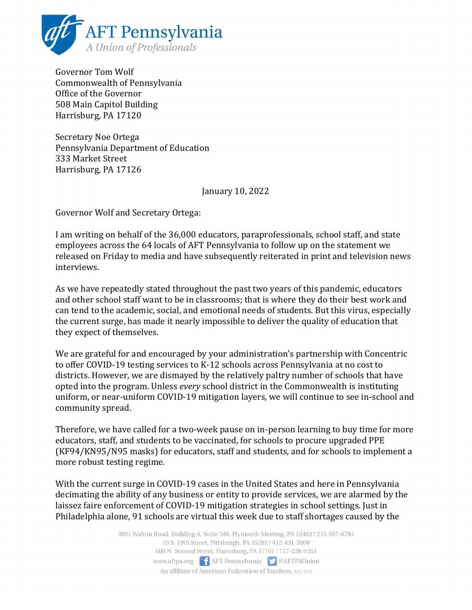

Governor Tom Wolf Commonwealth of Pennsylvania Office of the Governor 508 Main Capitol Building Harrisburg, PA 17120

Secretary Noe Ortega Pennsylvania Department of Education 333 Market Street Harrisburg, PA 17126

January 10, 2022

Governor Wolf and Secretary Ortega:

I am writing on behalf of the 36,000 educators, paraprofessionals, school staff, and state employees across the 64 locals of AFT Pennsylvania to follow up on the statement we released on Friday to media and have subsequently reiterated in print and television news interviews.

As we have repeatedly stated throughout the past two years of this pandemic, educators and other school staff want to be in classrooms; that is where they do their best work and can tend to the academic, social, and emotional needs of students. But this virus, especially the current surge, has made it nearly impossible to deliver the quality of education that they expect of themselves.

We are grateful for and encouraged by your administration's partnership with Concentric to offer COVID-19 testing services to K-12 schools across Pennsylvania at no cost to districts. However, we are dismayed by the relatively paltry number of schools that have opted into the program. Unless every school district in the Commonwealth is instituting uniform, or near-uniform COVID-19 mitigation layers, we will continue to see in-school and community spread.

Therefore, we have called for a two-week pause on in-person learning to buy time for more educators, staff, and students to be vaccinated, for schools to procure upgraded PPE (KF94/KN95/N95 masks) for educators, staff and students, and for schools to implement a more robust testing regime.

With the current surge in COVID-19 cases in the United States and here in Pennsylvania decimating the ability of any business or entity to provide services, we are alarmed by the laissez faire enforcement of COVID-19 mitigation strategies in school settings. Just in Philadelphia alone, 91 schools are virtual this week due to staff shortages caused by the

> 3031 Walton Road, Building A, Suite 340, Plymouth Meeting, PA 19462 | 215-587-6784 10 S. 19th Street, Pittsburgh, PA 15203 | 412-431-5900 600 N. Second Street, Harrisburg, PA 17101 | 717-238-9351 www.aftpa.org **f** AFT Pennsylvania **S** @AFTPAUnion An affiliate of American Federation of Teachers, AFL-CIO